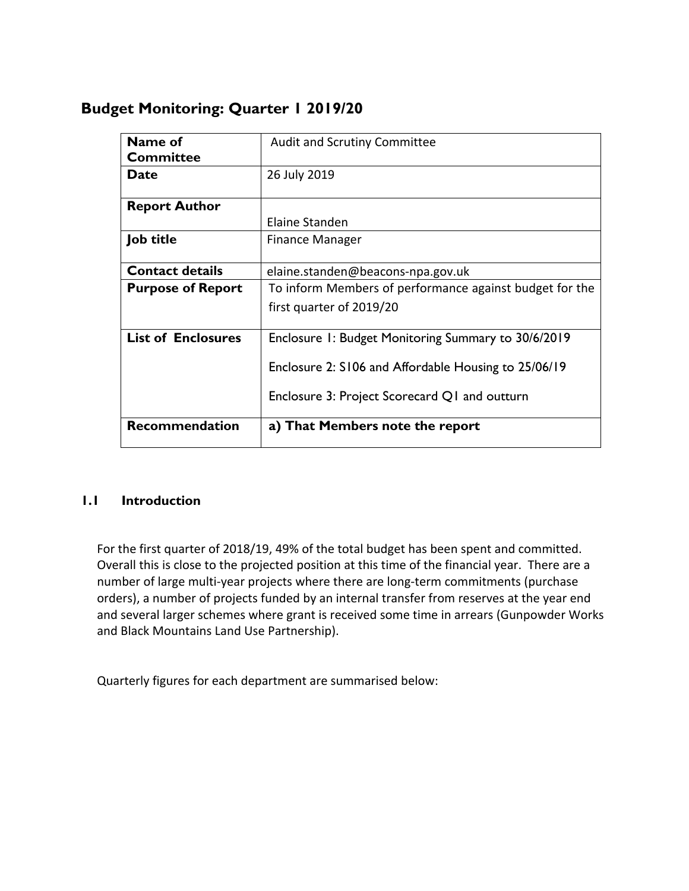# **Budget Monitoring: Quarter 1 2019/20**

| Name of                   | <b>Audit and Scrutiny Committee</b>                     |  |  |  |
|---------------------------|---------------------------------------------------------|--|--|--|
| <b>Committee</b>          |                                                         |  |  |  |
| <b>Date</b>               | 26 July 2019                                            |  |  |  |
| <b>Report Author</b>      |                                                         |  |  |  |
|                           | Elaine Standen                                          |  |  |  |
| <b>Job title</b>          | Finance Manager                                         |  |  |  |
| <b>Contact details</b>    | elaine.standen@beacons-npa.gov.uk                       |  |  |  |
| <b>Purpose of Report</b>  | To inform Members of performance against budget for the |  |  |  |
|                           | first quarter of 2019/20                                |  |  |  |
| <b>List of Enclosures</b> | Enclosure 1: Budget Monitoring Summary to 30/6/2019     |  |  |  |
|                           | Enclosure 2: S106 and Affordable Housing to 25/06/19    |  |  |  |
|                           | Enclosure 3: Project Scorecard Q1 and outturn           |  |  |  |
| <b>Recommendation</b>     | a) That Members note the report                         |  |  |  |

### **1.1 Introduction**

For the first quarter of 2018/19, 49% of the total budget has been spent and committed. Overall this is close to the projected position at this time of the financial year. There are a number of large multi-year projects where there are long-term commitments (purchase orders), a number of projects funded by an internal transfer from reserves at the year end and several larger schemes where grant is received some time in arrears (Gunpowder Works and Black Mountains Land Use Partnership).

Quarterly figures for each department are summarised below: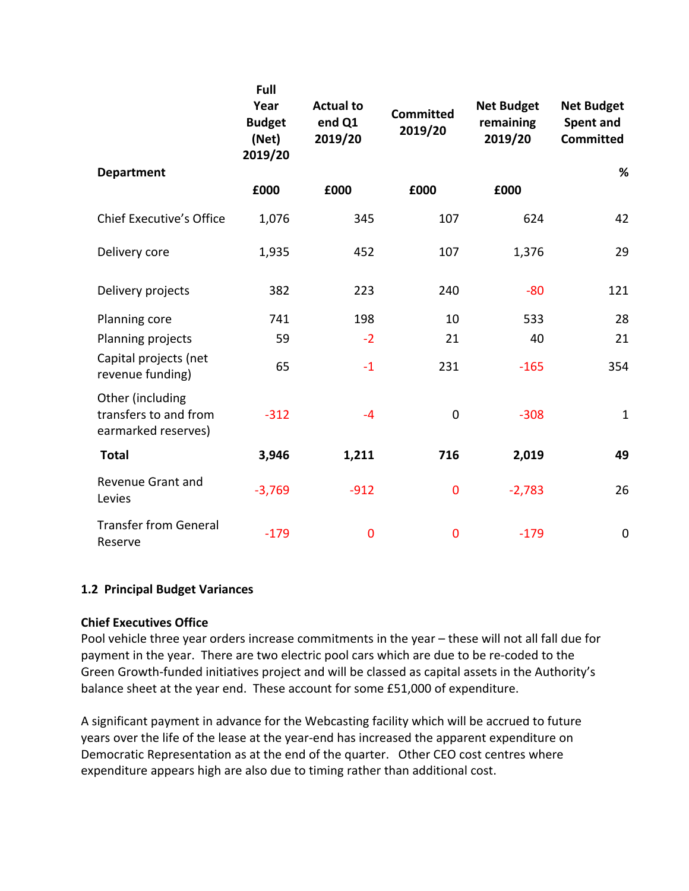|                                                                  | Full<br>Year<br><b>Budget</b><br>(Net)<br>2019/20 | <b>Actual to</b><br>end Q1<br>2019/20 | <b>Committed</b><br>2019/20 | <b>Net Budget</b><br>remaining<br>2019/20 | <b>Net Budget</b><br>Spent and<br><b>Committed</b> |
|------------------------------------------------------------------|---------------------------------------------------|---------------------------------------|-----------------------------|-------------------------------------------|----------------------------------------------------|
| <b>Department</b>                                                |                                                   |                                       |                             |                                           | %                                                  |
|                                                                  | £000                                              | £000                                  | £000                        | £000                                      |                                                    |
| <b>Chief Executive's Office</b>                                  | 1,076                                             | 345                                   | 107                         | 624                                       | 42                                                 |
| Delivery core                                                    | 1,935                                             | 452                                   | 107                         | 1,376                                     | 29                                                 |
| Delivery projects                                                | 382                                               | 223                                   | 240                         | $-80$                                     | 121                                                |
| Planning core                                                    | 741                                               | 198                                   | 10                          | 533                                       | 28                                                 |
| Planning projects                                                | 59                                                | $-2$                                  | 21                          | 40                                        | 21                                                 |
| Capital projects (net<br>revenue funding)                        | 65                                                | $-1$                                  | 231                         | $-165$                                    | 354                                                |
| Other (including<br>transfers to and from<br>earmarked reserves) | $-312$                                            | $-4$                                  | $\boldsymbol{0}$            | $-308$                                    | $\mathbf{1}$                                       |
| <b>Total</b>                                                     | 3,946                                             | 1,211                                 | 716                         | 2,019                                     | 49                                                 |
| Revenue Grant and<br>Levies                                      | $-3,769$                                          | $-912$                                | $\mathbf 0$                 | $-2,783$                                  | 26                                                 |
| <b>Transfer from General</b><br>Reserve                          | $-179$                                            | $\bf{0}$                              | $\mathbf 0$                 | $-179$                                    | $\mathbf 0$                                        |

#### **1.2 Principal Budget Variances**

#### **Chief Executives Office**

Pool vehicle three year orders increase commitments in the year – these will not all fall due for payment in the year. There are two electric pool cars which are due to be re-coded to the Green Growth-funded initiatives project and will be classed as capital assets in the Authority's balance sheet at the year end. These account for some £51,000 of expenditure.

A significant payment in advance for the Webcasting facility which will be accrued to future years over the life of the lease at the year-end has increased the apparent expenditure on Democratic Representation as at the end of the quarter. Other CEO cost centres where expenditure appears high are also due to timing rather than additional cost.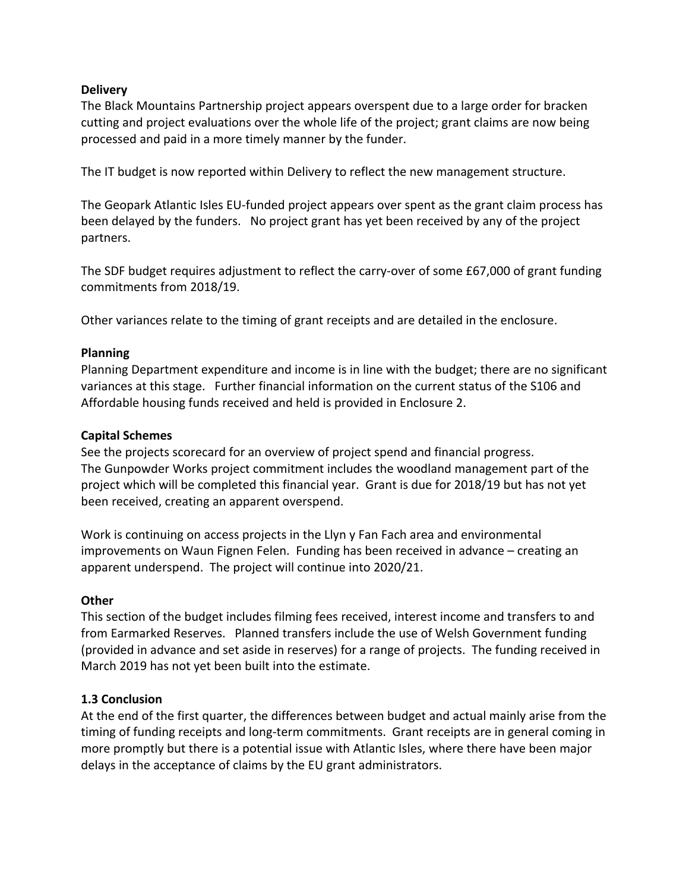#### **Delivery**

The Black Mountains Partnership project appears overspent due to a large order for bracken cutting and project evaluations over the whole life of the project; grant claims are now being processed and paid in a more timely manner by the funder.

The IT budget is now reported within Delivery to reflect the new management structure.

The Geopark Atlantic Isles EU-funded project appears over spent as the grant claim process has been delayed by the funders. No project grant has yet been received by any of the project partners.

The SDF budget requires adjustment to reflect the carry-over of some £67,000 of grant funding commitments from 2018/19.

Other variances relate to the timing of grant receipts and are detailed in the enclosure.

#### **Planning**

Planning Department expenditure and income is in line with the budget; there are no significant variances at this stage. Further financial information on the current status of the S106 and Affordable housing funds received and held is provided in Enclosure 2.

#### **Capital Schemes**

See the projects scorecard for an overview of project spend and financial progress. The Gunpowder Works project commitment includes the woodland management part of the project which will be completed this financial year. Grant is due for 2018/19 but has not yet been received, creating an apparent overspend.

Work is continuing on access projects in the Llyn y Fan Fach area and environmental improvements on Waun Fignen Felen. Funding has been received in advance – creating an apparent underspend. The project will continue into 2020/21.

#### **Other**

This section of the budget includes filming fees received, interest income and transfers to and from Earmarked Reserves. Planned transfers include the use of Welsh Government funding (provided in advance and set aside in reserves) for a range of projects. The funding received in March 2019 has not yet been built into the estimate.

#### **1.3 Conclusion**

At the end of the first quarter, the differences between budget and actual mainly arise from the timing of funding receipts and long-term commitments. Grant receipts are in general coming in more promptly but there is a potential issue with Atlantic Isles, where there have been major delays in the acceptance of claims by the EU grant administrators.